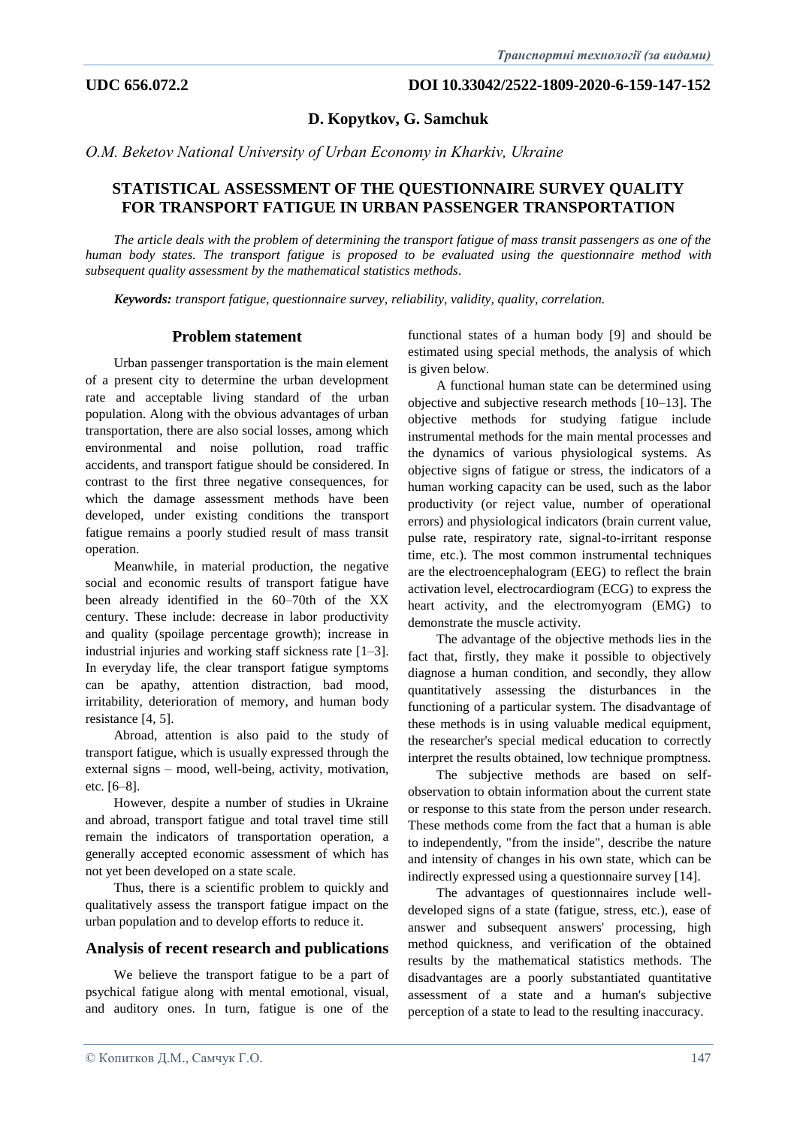**D. Kopytkov, G. Samchuk** 

*О.M. Beketov National University of Urban Economy in Kharkiv, Ukraine*

# **STATISTICAL ASSESSMENT OF THE QUESTIONNAIRE SURVEY QUALITY FOR TRANSPORT FATIGUE IN URBAN PASSENGER TRANSPORTATION**

*The article deals with the problem of determining the transport fatigue of mass transit passengers as one of the human body states. The transport fatigue is proposed to be evaluated using the questionnaire method with subsequent quality assessment by the mathematical statistics methods.*

*Keywords: transport fatigue, questionnaire survey, reliability, validity, quality, correlation.*

### **Problem statement**

Urban passenger transportation is the main element of a present city to determine the urban development rate and acceptable living standard of the urban population. Along with the obvious advantages of urban transportation, there are also social losses, among which environmental and noise pollution, road traffic accidents, and transport fatigue should be considered. In contrast to the first three negative consequences, for which the damage assessment methods have been developed, under existing conditions the transport fatigue remains a poorly studied result of mass transit operation.

Meanwhile, in material production, the negative social and economic results of transport fatigue have been already identified in the 60–70th of the XX century. These include: decrease in labor productivity and quality (spoilage percentage growth); increase in industrial injuries and working staff sickness rate [1–3]. In everyday life, the clear transport fatigue symptoms can be apathy, attention distraction, bad mood, irritability, deterioration of memory, and human body resistance [4, 5].

Abroad, attention is also paid to the study of transport fatigue, which is usually expressed through the external signs – mood, well-being, activity, motivation, etc. [6–8].

However, despite a number of studies in Ukraine and abroad, transport fatigue and total travel time still remain the indicators of transportation operation, a generally accepted economic assessment of which has not yet been developed on a state scale.

Thus, there is a scientific problem to quickly and qualitatively assess the transport fatigue impact on the urban population and to develop efforts to reduce it.

### **Analysis of recent research and publications**

We believe the transport fatigue to be a part of psychical fatigue along with mental emotional, visual, and auditory ones. In turn, fatigue is one of the functional states of a human body [9] and should be estimated using special methods, the analysis of which is given below.

A functional human state can be determined using objective and subjective research methods [10–13]. The objective methods for studying fatigue include instrumental methods for the main mental processes and the dynamics of various physiological systems. As objective signs of fatigue or stress, the indicators of a human working capacity can be used, such as the labor productivity (or reject value, number of operational errors) and physiological indicators (brain current value, pulse rate, respiratory rate, signal-to-irritant response time, etc.). The most common instrumental techniques are the electroencephalogram (EEG) to reflect the brain activation level, electrocardiogram (ECG) to express the heart activity, and the electromyogram (EMG) to demonstrate the muscle activity.

The advantage of the objective methods lies in the fact that, firstly, they make it possible to objectively diagnose a human condition, and secondly, they allow quantitatively assessing the disturbances in the functioning of a particular system. The disadvantage of these methods is in using valuable medical equipment, the researcher's special medical education to correctly interpret the results obtained, low technique promptness.

The subjective methods are based on selfobservation to obtain information about the current state or response to this state from the person under research. These methods come from the fact that a human is able to independently, "from the inside", describe the nature and intensity of changes in his own state, which can be indirectly expressed using a questionnaire survey [14].

The advantages of questionnaires include welldeveloped signs of a state (fatigue, stress, etc.), ease of answer and subsequent answers' processing, high method quickness, and verification of the obtained results by the mathematical statistics methods. The disadvantages are a poorly substantiated quantitative assessment of a state and a human's subjective perception of a state to lead to the resulting inaccuracy.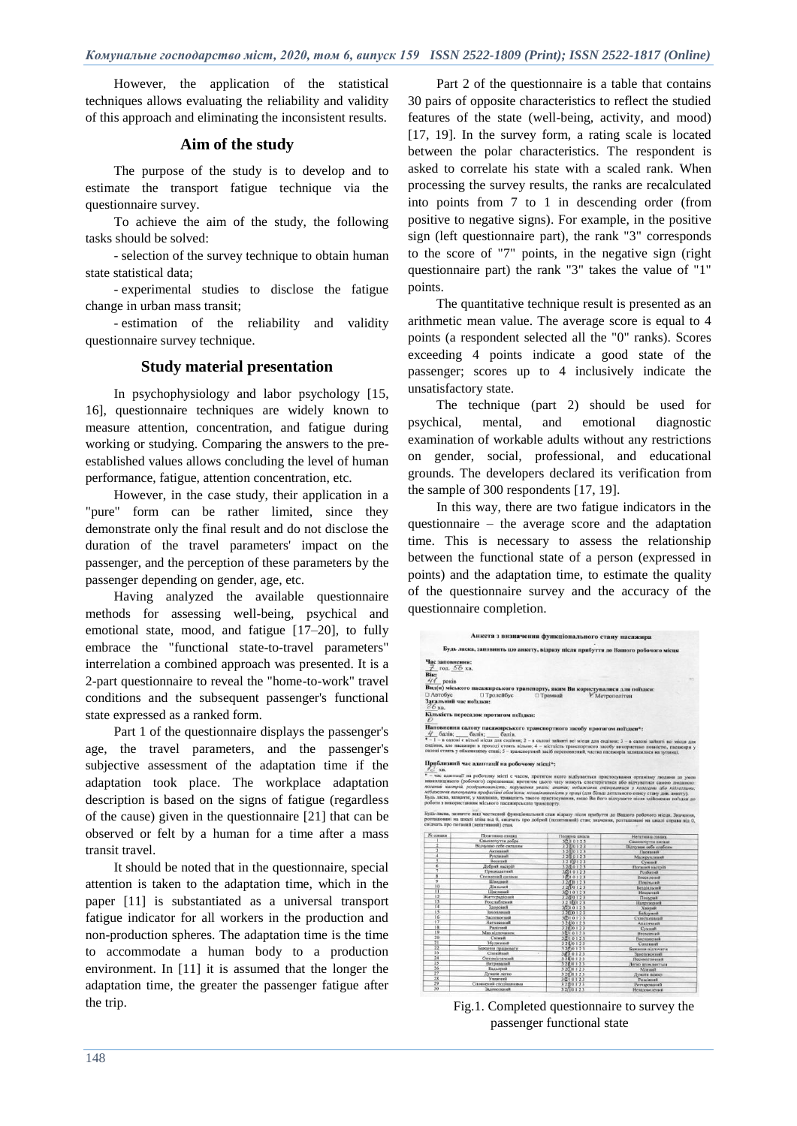However, the application of the statistical techniques allows evaluating the reliability and validity of this approach and eliminating the inconsistent results.

# **Aim of the study**

The purpose of the study is to develop and to estimate the transport fatigue technique via the questionnaire survey.

To achieve the aim of the study, the following tasks should be solved:

- selection of the survey technique to obtain human state statistical data;

- experimental studies to disclose the fatigue change in urban mass transit;

- estimation of the reliability and validity questionnaire survey technique.

# **Study material presentation**

In psychophysiology and labor psychology [15, 16], questionnaire techniques are widely known to measure attention, concentration, and fatigue during working or studying. Comparing the answers to the preestablished values allows concluding the level of human performance, fatigue, attention concentration, etc.

However, in the case study, their application in a "pure" form can be rather limited, since they demonstrate only the final result and do not disclose the duration of the travel parameters' impact on the passenger, and the perception of these parameters by the passenger depending on gender, age, etc.

Having analyzed the available questionnaire methods for assessing well-being, psychical and emotional state, mood, and fatigue [17–20], to fully embrace the "functional state-to-travel parameters" interrelation a combined approach was presented. It is a 2-part questionnaire to reveal the "home-to-work" travel conditions and the subsequent passenger's functional state expressed as a ranked form.

Part 1 of the questionnaire displays the passenger's age, the travel parameters, and the passenger's subjective assessment of the adaptation time if the adaptation took place. The workplace adaptation description is based on the signs of fatigue (regardless of the cause) given in the questionnaire [21] that can be observed or felt by a human for a time after a mass transit travel.

It should be noted that in the questionnaire, special attention is taken to the adaptation time, which in the paper [11] is substantiated as a universal transport fatigue indicator for all workers in the production and non-production spheres. The adaptation time is the time to accommodate a human body to a production environment. In [11] it is assumed that the longer the adaptation time, the greater the passenger fatigue after the trip.

Part 2 of the questionnaire is a table that contains 30 pairs of opposite characteristics to reflect the studied features of the state (well-being, activity, and mood) [17, 19]. In the survey form, a rating scale is located between the polar characteristics. The respondent is asked to correlate his state with a scaled rank. When processing the survey results, the ranks are recalculated into points from 7 to 1 in descending order (from positive to negative signs). For example, in the positive sign (left questionnaire part), the rank "3" corresponds to the score of "7" points, in the negative sign (right questionnaire part) the rank "3" takes the value of "1" points.

The quantitative technique result is presented as an arithmetic mean value. The average score is equal to 4 points (a respondent selected all the "0" ranks). Scores exceeding 4 points indicate a good state of the passenger; scores up to 4 inclusively indicate the unsatisfactory state.

The technique (part 2) should be used for psychical, mental, and emotional diagnostic examination of workable adults without any restrictions on gender, social, professional, and educational grounds. The developers declared its verification from the sample of 300 respondents [17, 19].

In this way, there are two fatigue indicators in the questionnaire – the average score and the adaptation time. This is necessary to assess the relationship between the functional state of a person (expressed in points) and the adaptation time, to estimate the quality of the questionnaire survey and the accuracy of the questionnaire completion.



Fig.1. Completed questionnaire to survey the passenger functional state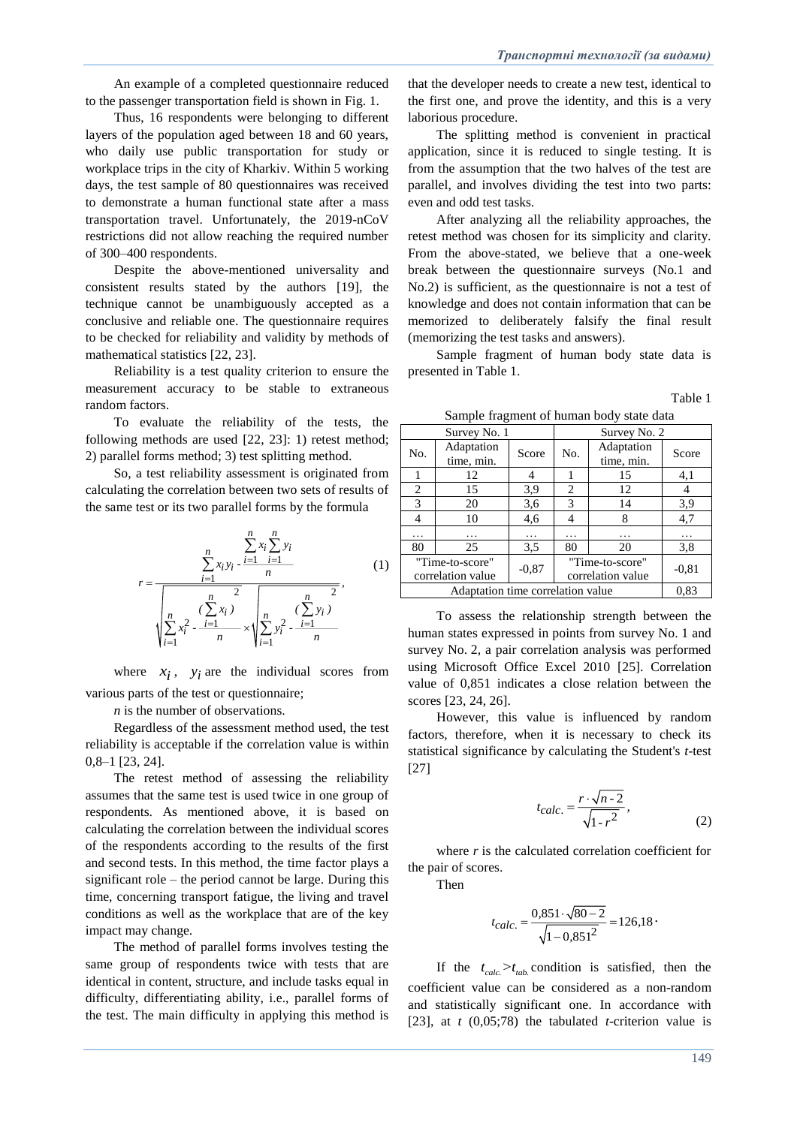An example of a completed questionnaire reduced to the passenger transportation field is shown in Fig. 1.

Thus, 16 respondents were belonging to different layers of the population aged between 18 and 60 years, who daily use public transportation for study or workplace trips in the city of Kharkiv. Within 5 working days, the test sample of 80 questionnaires was received to demonstrate a human functional state after a mass transportation travel. Unfortunately, the 2019-nCoV restrictions did not allow reaching the required number of 300–400 respondents.

Despite the above-mentioned universality and consistent results stated by the authors [19], the technique cannot be unambiguously accepted as a conclusive and reliable one. The questionnaire requires to be checked for reliability and validity by methods of mathematical statistics [22, 23].

Reliability is a test quality criterion to ensure the measurement accuracy to be stable to extraneous random factors.

To evaluate the reliability of the tests, the following methods are used [22, 23]: 1) retest method; 2) parallel forms method; 3) test splitting method.

So, a test reliability assessment is originated from calculating the correlation between two sets of results of the same test or its two parallel forms by the formula

$$
r = \frac{\sum_{i=1}^{n} x_i \sum_{j=1}^{n} y_i}{\sqrt{\sum_{i=1}^{n} x_i^2 + \frac{(n-1)(n-2)}{n}}}
$$
\n
$$
\sqrt{\sum_{i=1}^{n} x_i^2 - \frac{i-1}{n}} \times \sqrt{\sum_{i=1}^{n} y_i^2 - \frac{i-1}{n}}}
$$
\n(1)

where  $x_i$ ,  $y_i$  are the individual scores from various parts of the test or questionnaire;

*n* is the number of observations.

Regardless of the assessment method used, the test reliability is acceptable if the correlation value is within 0,8–1 [23, 24].

The retest method of assessing the reliability assumes that the same test is used twice in one group of respondents. As mentioned above, it is based on calculating the correlation between the individual scores of the respondents according to the results of the first and second tests. In this method, the time factor plays a significant role – the period cannot be large. During this time, concerning transport fatigue, the living and travel conditions as well as the workplace that are of the key impact may change.

The method of parallel forms involves testing the same group of respondents twice with tests that are identical in content, structure, and include tasks equal in difficulty, differentiating ability, i.e., parallel forms of the test. The main difficulty in applying this method is

that the developer needs to create a new test, identical to the first one, and prove the identity, and this is a very laborious procedure.

The splitting method is convenient in practical application, since it is reduced to single testing. It is from the assumption that the two halves of the test are parallel, and involves dividing the test into two parts: even and odd test tasks.

After analyzing all the reliability approaches, the retest method was chosen for its simplicity and clarity. From the above-stated, we believe that a one-week break between the questionnaire surveys (No.1 and No.2) is sufficient, as the questionnaire is not a test of knowledge and does not contain information that can be memorized to deliberately falsify the final result (memorizing the test tasks and answers).

Sample fragment of human body state data is presented in Table 1.

Table 1

Sample fragment of human body state data

| Survey No. 1                         |                          |         | Survey No. 2                         |                          |         |
|--------------------------------------|--------------------------|---------|--------------------------------------|--------------------------|---------|
| No.                                  | Adaptation<br>time, min. | Score   | No.                                  | Adaptation<br>time, min. | Score   |
|                                      | 12                       |         |                                      | 15                       | 4,1     |
| 2                                    | 15                       | 3.9     | 2                                    | 12                       | 4       |
| 3                                    | 20                       | 3,6     | 3                                    | 14                       | 3,9     |
| 4                                    | 10                       | 4,6     | 4                                    | 8                        | 4,7     |
| .                                    | .                        | .       | .                                    | .                        | .       |
| 80                                   | 25                       | 3.5     | 80                                   | 20                       | 3,8     |
| "Time-to-score"<br>correlation value |                          | $-0.87$ | "Time-to-score"<br>correlation value |                          | $-0.81$ |
| Adaptation time correlation value    |                          |         |                                      |                          | 0.83    |

To assess the relationship strength between the human states expressed in points from survey No. 1 and survey No. 2, a pair correlation analysis was performed using Microsoft Office Excel 2010 [25]. Correlation value of 0,851 indicates a close relation between the scores [23, 24, 26].

However, this value is influenced by random factors, therefore, when it is necessary to check its statistical significance by calculating the Student's *t*-test [27]

$$
t_{calc.} = \frac{r \cdot \sqrt{n - 2}}{\sqrt{1 - r^2}},\tag{2}
$$

where *r* is the calculated correlation coefficient for the pair of scores.

Then

$$
t_{calc.} = \frac{0,851 \cdot \sqrt{80 - 2}}{\sqrt{1 - 0,851^2}} = 126,18 \cdot
$$

If the  $t_{calc} > t_{tab}$  condition is satisfied, then the coefficient value can be considered as a non-random and statistically significant one. In accordance with [23], at *t* (0,05;78) the tabulated *t*-criterion value is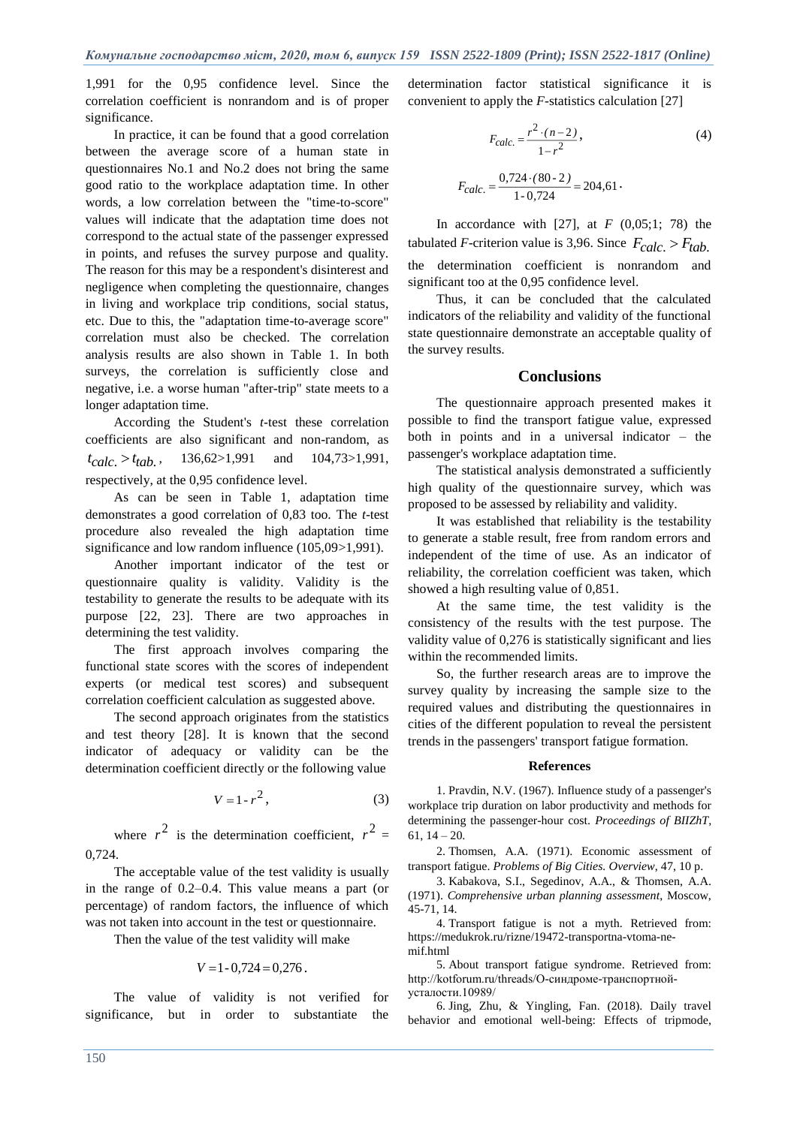1,991 for the 0,95 confidence level. Since the correlation coefficient is nonrandom and is of proper significance.

In practice, it can be found that a good correlation between the average score of a human state in questionnaires No.1 and No.2 does not bring the same good ratio to the workplace adaptation time. In other words, a low correlation between the "time-to-score" values will indicate that the adaptation time does not correspond to the actual state of the passenger expressed in points, and refuses the survey purpose and quality. The reason for this may be a respondent's disinterest and negligence when completing the questionnaire, changes in living and workplace trip conditions, social status, etc. Due to this, the "adaptation time-to-average score" correlation must also be checked. The correlation analysis results are also shown in Table 1. In both surveys, the correlation is sufficiently close and negative, i.e. a worse human "after-trip" state meets to a longer adaptation time.

According the Student's *t*-test these correlation coefficients are also significant and non-random, as  $t_{calc.} > t_{tab.}$ , 136,62>1,991 and 104,73>1,991, respectively, at the 0,95 confidence level.

As can be seen in Table 1, adaptation time demonstrates a good correlation of 0,83 too. The *t*-test procedure also revealed the high adaptation time significance and low random influence (105,09>1,991).

Another important indicator of the test or questionnaire quality is validity. Validity is the testability to generate the results to be adequate with its purpose [22, 23]. There are two approaches in determining the test validity.

The first approach involves comparing the functional state scores with the scores of independent experts (or medical test scores) and subsequent correlation coefficient calculation as suggested above.

The second approach originates from the statistics and test theory [28]. It is known that the second indicator of adequacy or validity can be the determination coefficient directly or the following value

$$
V = 1 - r^2, \tag{3}
$$

where  $r^2$  is the determination coefficient,  $r^2 =$ 0,724.

The acceptable value of the test validity is usually in the range of 0.2–0.4. This value means a part (or percentage) of random factors, the influence of which was not taken into account in the test or questionnaire.

Then the value of the test validity will make

$$
V = 1 - 0,724 = 0,276.
$$

The value of validity is not verified for significance, but in order to substantiate the determination factor statistical significance it is convenient to apply the *F*-statistics calculation [27]

$$
F_{calc.} = \frac{r^2 \cdot (n-2)}{1 - r^2},
$$
\n(4)

$$
F_{calc.} = \frac{0.724 \cdot (80 - 2)}{1 - 0.724} = 204.61
$$

In accordance with [27], at  $F(0,05;1; 78)$  the tabulated *F*-criterion value is 3,96. Since  $F_{calc.} > F_{tab.}$ the determination coefficient is nonrandom and significant too at the 0,95 confidence level.

Thus, it can be concluded that the calculated indicators of the reliability and validity of the functional state questionnaire demonstrate an acceptable quality of the survey results.

# **Conclusions**

The questionnaire approach presented makes it possible to find the transport fatigue value, expressed both in points and in a universal indicator – the passenger's workplace adaptation time.

The statistical analysis demonstrated a sufficiently high quality of the questionnaire survey, which was proposed to be assessed by reliability and validity.

It was established that reliability is the testability to generate a stable result, free from random errors and independent of the time of use. As an indicator of reliability, the correlation coefficient was taken, which showed a high resulting value of 0,851.

At the same time, the test validity is the consistency of the results with the test purpose. The validity value of 0,276 is statistically significant and lies within the recommended limits.

So, the further research areas are to improve the survey quality by increasing the sample size to the required values and distributing the questionnaires in cities of the different population to reveal the persistent trends in the passengers' transport fatigue formation.

#### **References**

1. Pravdin, N.V. (1967). Influence study of a passenger's workplace trip duration on labor productivity and methods for determining the passenger-hour cost. *Proceedings of BIIZhT,*  $61, 14 - 20.$ 

2. Thomsen, A.A. (1971). Economic assessment of transport fatigue. *Problems of Big Cities. Overview*, 47, 10 p.

3. Kabakova, S.I., Segedinov, A.A., & Thomsen, A.A. (1971). *Comprehensive urban planning assessment*, Moscow, 45-71, 14.

4. Transport fatigue is not a myth. Retrieved from: [https://medukrok.ru/rizne/19472-transportna-vtoma-ne](https://medukrok.ru/rizne/19472-transportna-vtoma-ne-mif.html)[mif.html](https://medukrok.ru/rizne/19472-transportna-vtoma-ne-mif.html)

5. About transport fatigue syndrome. Retrieved from: [http://kotforum.ru/threads/О-синдроме-транспортной](http://kotforum.ru/threads/О-синдроме-транспортной-усталости.10989/)[усталости.10989/](http://kotforum.ru/threads/О-синдроме-транспортной-усталости.10989/)

6. Jing, Zhu, & Yingling, Fan. (2018). Daily travel behavior and emotional well-being: Effects of tripmode,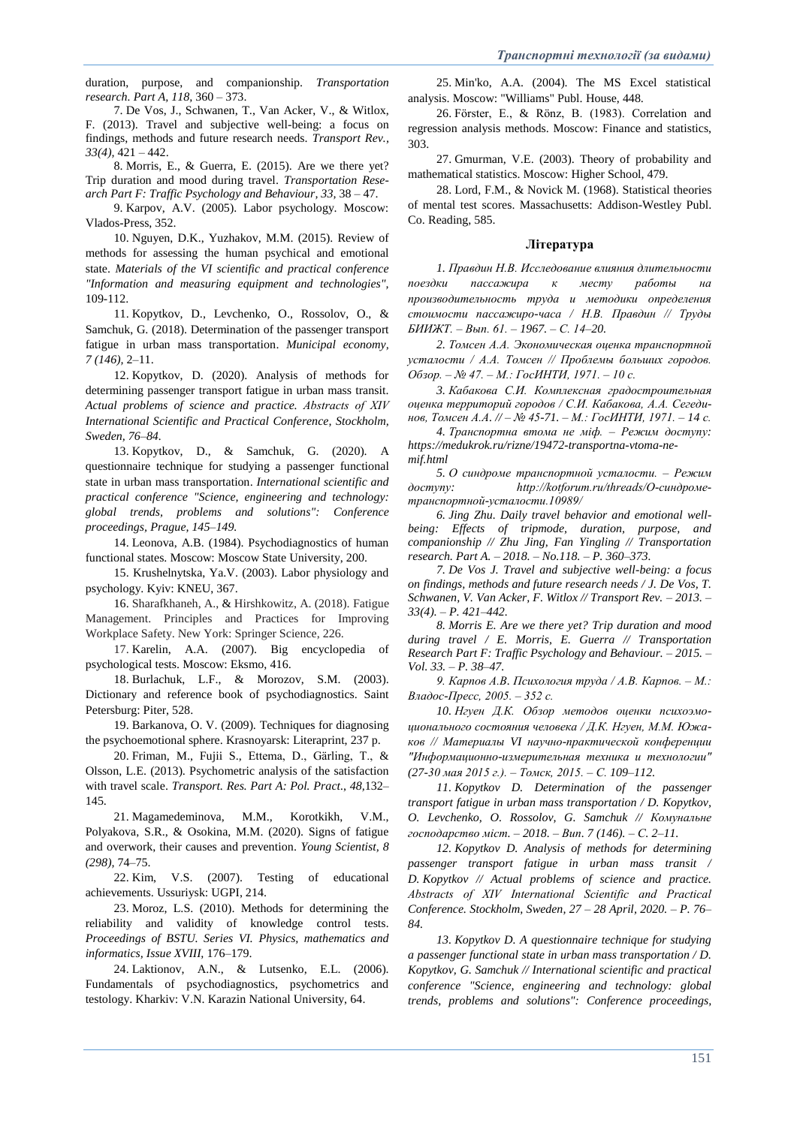duration, purpose, and companionship. *Transportation research. Part A, 118,* 360 – 373.

7. De Vos, J., Schwanen, T., Van Acker, V., & Witlox, F. (2013). Travel and subjective well-being: a focus on findings, methods and future research needs. *Transport Rev., 33(4),* 421 – 442.

8. Morris, E., & Guerra, E. (2015). Are we there yet? Trip duration and mood during travel. *Transportation Research Part F: Traffic Psychology and Behaviour, 33,* 38 – 47.

9. Karpov, A.V. (2005). Labor psychology. Moscow: Vlados-Press, 352.

10. Nguyen, D.K., Yuzhakov, M.M. (2015). Review of methods for assessing the human psychical and emotional state. *Materials of the VI scientific and practical conference "Information and measuring equipment and technologies",* 109-112.

11. Kopytkov, D., Levchenko, O., Rossolov, O., & Samchuk, G. (2018). Determination of the passenger transport fatigue in urban mass transportation. *Municipal economy, 7 (146),* 2–11.

12. Kopytkov, D. (2020). Analysis of methods for determining passenger transport fatigue in urban mass transit. *Actual problems of science and practice. Abstracts of XІV International Scientific and Practical Conference, Stockholm, Sweden, 76–84.*

13. Kopytkov, D., & Samchuk, G. (2020). A questionnaire technique for studying a passenger functional state in urban mass transportation. *International scientific and practical conference "Science, engineering and technology: global trends, problems and solutions": Conference proceedings, Prague, 145–149.*

14. Leonova, A.B. (1984). Psychodiagnostics of human functional states. Moscow: Moscow State University, 200.

15. Krushelnytska, Ya.V. (2003). Labor physiology and psychology. Kyiv: KNEU, 367.

16. Sharafkhaneh, A., & Hirshkowitz, A. (2018). Fatigue Management. Principles and Practices for Improving Workplace Safety. New York: Springer Science, 226.

17. Karelin, A.A. (2007). Big encyclopedia of psychological tests. Moscow: Eksmo, 416.

18. Burlachuk, L.F., & Morozov, S.M. (2003). Dictionary and reference book of psychodiagnostics. Saint Petersburg: Piter, 528.

19. Barkanova, O. V. (2009). Techniques for diagnosing the psychoemotional sphere. Krasnoyarsk: Literaprint, 237 p.

20. Friman, M., Fujii S., Ettema, D., Gärling, T., & Olsson, L.E. (2013). Psychometric analysis of the satisfaction with travel scale. *Transport. Res. Part A: Pol. Pract.*, *48,*132– 145.

21. Magamedeminova, M.M., Korotkikh, V.M., Polyakova, S.R., & Osokina, M.M. (2020). Signs of fatigue and overwork, their causes and prevention. *Young Scientist, 8 (298),* 74–75.

22. Kim, V.S. (2007). Testing of educational achievements. Ussuriysk: UGPI, 214.

23. Moroz, L.S. (2010). Methods for determining the reliability and validity of knowledge control tests*. Proceedings of BSTU. Series VI. Physics, mathematics and informatics, Issue XVIII,* 176–179.

24. Laktionov, A.N., & Lutsenko, E.L. (2006). Fundamentals of psychodiagnostics, psychometrics and testology. Kharkiv: V.N. Karazin National University, 64.

25. Min'ko, A.A. (2004). The MS Excel statistical analysis. Moscow: "Williams" Publ. House, 448.

26. Förster, E., & Rönz, B. (1983). Correlation and regression analysis methods. Moscow: Finance and statistics, 303.

27. Gmurman, V.E. (2003). Theory of probability and mathematical statistics. Moscow: Higher School, 479.

28. Lord, F.M., & Novick M. (1968). Statistical theories of mental test scores. Massachusetts: Addison-Westley Publ. Co. Reading, 585.

#### **Література**

*1. Правдин Н.В. Исследование влияния длительности*  поездки пассажира к месту работы *производительность труда и методики определения стоимости пассажиро-часа / Н.В. Правдин // Труды БИИЖТ. – Вып. 61. – 1967. – С. 14–20.*

*2. Томсен А.А. Экономическая оценка транспортной усталости / А.А. Томсен // Проблемы больших городов. Обзор. – № 47. – М.: ГосИНТИ, 1971. – 10 с.*

*3. Кабакова С.И. Комплексная градостроительная оценка территорий городов / С.И. Кабакова, А.А. Сегединов, Томсен А.А. // – № 45-71. – М.: ГосИНТИ, 1971. – 14 с.* 

*4. Транспортна втома не міф. – Режим доступу: [https://medukrok.ru/rizne/19472-transportna-vtoma-ne](https://medukrok.ru/rizne/19472-transportna-vtoma-ne-mif.html)[mif.html](https://medukrok.ru/rizne/19472-transportna-vtoma-ne-mif.html)*

*5. О синдроме транспортной усталости. – Режим доступу: [http://kotforum.ru/threads/О-синдроме](http://kotforum.ru/threads/О-синдроме-транспортной-усталости.10989/)[транспортной-усталости.10989/](http://kotforum.ru/threads/О-синдроме-транспортной-усталости.10989/)*

*6. Jing Zhu. Daily travel behavior and emotional wellbeing: Effects of tripmode, duration, purpose, and companionship // Zhu Jing, Fan Yingling // Transportation research. Part A. – 2018. – No.118. – P. 360–373.* 

*7. De Vos J. Travel and subjective well-being: a focus on findings, methods and future research needs / J. De Vos, T. Schwanen, V. Van Acker, F. Witlox // Transport Rev. – 2013. – 33(4). – P. 421–442.* 

*8. Morris E. Are we there yet? Trip duration and mood during travel / E. Morris, E. Guerra // Transportation Research Part F: Traffic Psychology and Behaviour. – 2015. – Vol. 33. – P. 38–47.*

*9. Карпов А.В. Психология труда / А.В. Карпов. – М.: Владос-Пресс, 2005. – 352 с.* 

*10. Нгуен Д.К. Обзор методов оценки психоэмоционального состояния человека / Д.К. Нгуен, М.М. Южаков // Материалы VI научно-практической конференции "Информационно-измерительная техника и технологии" (27-30 мая 2015 г.). – Томск, 2015. – С. 109–112.*

*11. Kopytkov D. Determination of the passenger transport fatigue in urban mass transportation / D. Kopytkov, O. Levchenko, O. Rossolov, G. Samchuk // Комунальне господарство міст. – 2018. – Вип. 7 (146). – С. 2–11.*

*12. Kopytkov D. Analysis of methods for determining passenger transport fatigue in urban mass transit / D. Kopytkov // Actual problems of science and practice. Abstracts of XІV International Scientific and Practical Conference. Stockholm, Sweden, 27 – 28 April, 2020. – P. 76– 84.*

*13. Kopytkov D. A questionnaire technique for studying a passenger functional state in urban mass transportation / D. Kopytkov, G. Samchuk // International scientific and practical conference "Science, engineering and technology: global trends, problems and solutions": Conference proceedings,*